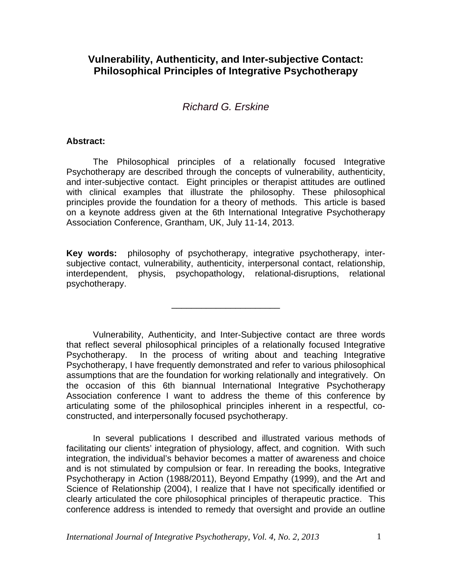# **Vulnerability, Authenticity, and Inter-subjective Contact: Philosophical Principles of Integrative Psychotherapy**

# *Richard G. Erskine*

#### **Abstract:**

The Philosophical principles of a relationally focused Integrative Psychotherapy are described through the concepts of vulnerability, authenticity, and inter-subjective contact. Eight principles or therapist attitudes are outlined with clinical examples that illustrate the philosophy. These philosophical principles provide the foundation for a theory of methods. This article is based on a keynote address given at the 6th International Integrative Psychotherapy Association Conference, Grantham, UK, July 11-14, 2013.

**Key words:** philosophy of psychotherapy, integrative psychotherapy, intersubjective contact, vulnerability, authenticity, interpersonal contact, relationship, interdependent, physis, psychopathology, relational-disruptions, relational psychotherapy.

\_\_\_\_\_\_\_\_\_\_\_\_\_\_\_\_\_\_\_\_\_\_

Vulnerability, Authenticity, and Inter-Subjective contact are three words that reflect several philosophical principles of a relationally focused Integrative Psychotherapy. In the process of writing about and teaching Integrative Psychotherapy, I have frequently demonstrated and refer to various philosophical assumptions that are the foundation for working relationally and integratively. On the occasion of this 6th biannual International Integrative Psychotherapy Association conference I want to address the theme of this conference by articulating some of the philosophical principles inherent in a respectful, coconstructed, and interpersonally focused psychotherapy.

In several publications I described and illustrated various methods of facilitating our clients' integration of physiology, affect, and cognition. With such integration, the individual's behavior becomes a matter of awareness and choice and is not stimulated by compulsion or fear. In rereading the books, Integrative Psychotherapy in Action (1988/2011), Beyond Empathy (1999), and the Art and Science of Relationship (2004), I realize that I have not specifically identified or clearly articulated the core philosophical principles of therapeutic practice. This conference address is intended to remedy that oversight and provide an outline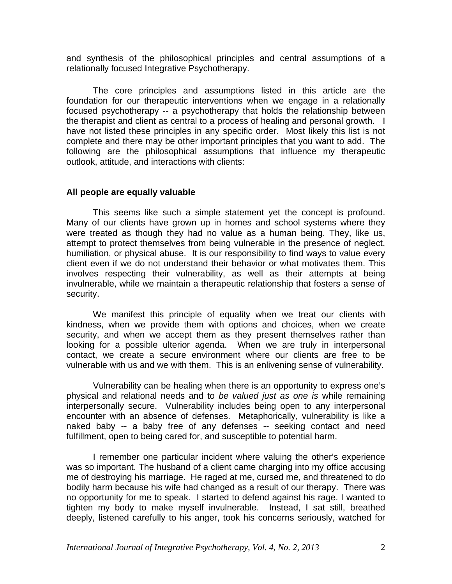and synthesis of the philosophical principles and central assumptions of a relationally focused Integrative Psychotherapy.

The core principles and assumptions listed in this article are the foundation for our therapeutic interventions when we engage in a relationally focused psychotherapy -- a psychotherapy that holds the relationship between the therapist and client as central to a process of healing and personal growth. I have not listed these principles in any specific order. Most likely this list is not complete and there may be other important principles that you want to add. The following are the philosophical assumptions that influence my therapeutic outlook, attitude, and interactions with clients:

## **All people are equally valuable**

 This seems like such a simple statement yet the concept is profound. Many of our clients have grown up in homes and school systems where they were treated as though they had no value as a human being. They, like us, attempt to protect themselves from being vulnerable in the presence of neglect, humiliation, or physical abuse. It is our responsibility to find ways to value every client even if we do not understand their behavior or what motivates them. This involves respecting their vulnerability, as well as their attempts at being invulnerable, while we maintain a therapeutic relationship that fosters a sense of security.

We manifest this principle of equality when we treat our clients with kindness, when we provide them with options and choices, when we create security, and when we accept them as they present themselves rather than looking for a possible ulterior agenda. When we are truly in interpersonal contact, we create a secure environment where our clients are free to be vulnerable with us and we with them. This is an enlivening sense of vulnerability.

Vulnerability can be healing when there is an opportunity to express one's physical and relational needs and to *be valued just as one is* while remaining interpersonally secure. Vulnerability includes being open to any interpersonal encounter with an absence of defenses. Metaphorically, vulnerability is like a naked baby -- a baby free of any defenses -- seeking contact and need fulfillment, open to being cared for, and susceptible to potential harm.

I remember one particular incident where valuing the other's experience was so important. The husband of a client came charging into my office accusing me of destroying his marriage. He raged at me, cursed me, and threatened to do bodily harm because his wife had changed as a result of our therapy. There was no opportunity for me to speak. I started to defend against his rage. I wanted to tighten my body to make myself invulnerable. Instead, I sat still, breathed deeply, listened carefully to his anger, took his concerns seriously, watched for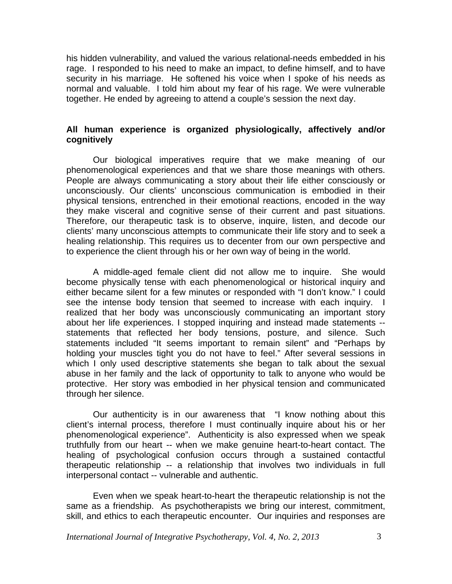his hidden vulnerability, and valued the various relational-needs embedded in his rage. I responded to his need to make an impact, to define himself, and to have security in his marriage. He softened his voice when I spoke of his needs as normal and valuable. I told him about my fear of his rage. We were vulnerable together. He ended by agreeing to attend a couple's session the next day.

## **All human experience is organized physiologically, affectively and/or cognitively**

 Our biological imperatives require that we make meaning of our phenomenological experiences and that we share those meanings with others. People are always communicating a story about their life either consciously or unconsciously. Our clients' unconscious communication is embodied in their physical tensions, entrenched in their emotional reactions, encoded in the way they make visceral and cognitive sense of their current and past situations. Therefore, our therapeutic task is to observe, inquire, listen, and decode our clients' many unconscious attempts to communicate their life story and to seek a healing relationship. This requires us to decenter from our own perspective and to experience the client through his or her own way of being in the world.

A middle-aged female client did not allow me to inquire. She would become physically tense with each phenomenological or historical inquiry and either became silent for a few minutes or responded with "I don't know." I could see the intense body tension that seemed to increase with each inquiry. I realized that her body was unconsciously communicating an important story about her life experiences. I stopped inquiring and instead made statements - statements that reflected her body tensions, posture, and silence. Such statements included "It seems important to remain silent" and "Perhaps by holding your muscles tight you do not have to feel." After several sessions in which I only used descriptive statements she began to talk about the sexual abuse in her family and the lack of opportunity to talk to anyone who would be protective. Her story was embodied in her physical tension and communicated through her silence.

 Our authenticity is in our awareness that "I know nothing about this client's internal process, therefore I must continually inquire about his or her phenomenological experience". Authenticity is also expressed when we speak truthfully from our heart -- when we make genuine heart-to-heart contact. The healing of psychological confusion occurs through a sustained contactful therapeutic relationship -- a relationship that involves two individuals in full interpersonal contact -- vulnerable and authentic.

Even when we speak heart-to-heart the therapeutic relationship is not the same as a friendship. As psychotherapists we bring our interest, commitment, skill, and ethics to each therapeutic encounter. Our inquiries and responses are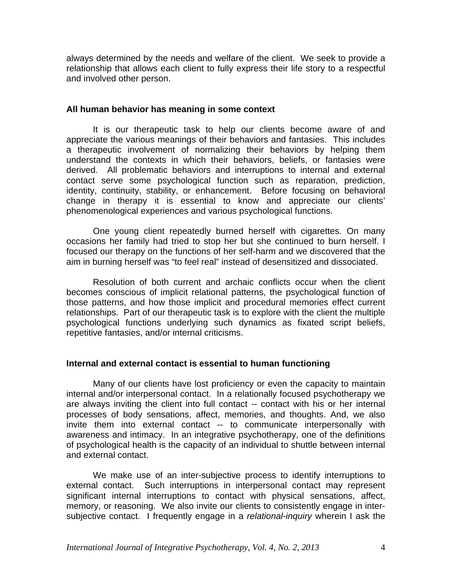always determined by the needs and welfare of the client. We seek to provide a relationship that allows each client to fully express their life story to a respectful and involved other person.

#### **All human behavior has meaning in some context**

It is our therapeutic task to help our clients become aware of and appreciate the various meanings of their behaviors and fantasies. This includes a therapeutic involvement of normalizing their behaviors by helping them understand the contexts in which their behaviors, beliefs, or fantasies were derived. All problematic behaviors and interruptions to internal and external contact serve some psychological function such as reparation, prediction, identity, continuity, stability, or enhancement. Before focusing on behavioral change in therapy it is essential to know and appreciate our clients' phenomenological experiences and various psychological functions.

One young client repeatedly burned herself with cigarettes. On many occasions her family had tried to stop her but she continued to burn herself. I focused our therapy on the functions of her self-harm and we discovered that the aim in burning herself was "to feel real" instead of desensitized and dissociated.

Resolution of both current and archaic conflicts occur when the client becomes conscious of implicit relational patterns, the psychological function of those patterns, and how those implicit and procedural memories effect current relationships. Part of our therapeutic task is to explore with the client the multiple psychological functions underlying such dynamics as fixated script beliefs, repetitive fantasies, and/or internal criticisms.

## **Internal and external contact is essential to human functioning**

 Many of our clients have lost proficiency or even the capacity to maintain internal and/or interpersonal contact. In a relationally focused psychotherapy we are always inviting the client into full contact -- contact with his or her internal processes of body sensations, affect, memories, and thoughts. And, we also invite them into external contact -- to communicate interpersonally with awareness and intimacy. In an integrative psychotherapy, one of the definitions of psychological health is the capacity of an individual to shuttle between internal and external contact.

We make use of an inter-subjective process to identify interruptions to external contact. Such interruptions in interpersonal contact may represent significant internal interruptions to contact with physical sensations, affect, memory, or reasoning. We also invite our clients to consistently engage in intersubjective contact. I frequently engage in a *relational-inquiry* wherein I ask the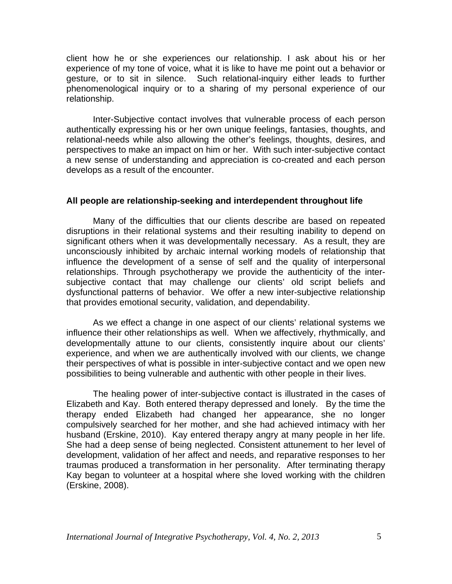client how he or she experiences our relationship. I ask about his or her experience of my tone of voice, what it is like to have me point out a behavior or gesture, or to sit in silence. Such relational-inquiry either leads to further phenomenological inquiry or to a sharing of my personal experience of our relationship.

Inter-Subjective contact involves that vulnerable process of each person authentically expressing his or her own unique feelings, fantasies, thoughts, and relational-needs while also allowing the other's feelings, thoughts, desires, and perspectives to make an impact on him or her. With such inter-subjective contact a new sense of understanding and appreciation is co-created and each person develops as a result of the encounter.

## **All people are relationship-seeking and interdependent throughout life**

 Many of the difficulties that our clients describe are based on repeated disruptions in their relational systems and their resulting inability to depend on significant others when it was developmentally necessary. As a result, they are unconsciously inhibited by archaic internal working models of relationship that influence the development of a sense of self and the quality of interpersonal relationships. Through psychotherapy we provide the authenticity of the intersubjective contact that may challenge our clients' old script beliefs and dysfunctional patterns of behavior. We offer a new inter-subjective relationship that provides emotional security, validation, and dependability.

As we effect a change in one aspect of our clients' relational systems we influence their other relationships as well. When we affectively, rhythmically, and developmentally attune to our clients, consistently inquire about our clients' experience, and when we are authentically involved with our clients, we change their perspectives of what is possible in inter-subjective contact and we open new possibilities to being vulnerable and authentic with other people in their lives.

The healing power of inter-subjective contact is illustrated in the cases of Elizabeth and Kay. Both entered therapy depressed and lonely. By the time the therapy ended Elizabeth had changed her appearance, she no longer compulsively searched for her mother, and she had achieved intimacy with her husband (Erskine, 2010). Kay entered therapy angry at many people in her life. She had a deep sense of being neglected. Consistent attunement to her level of development, validation of her affect and needs, and reparative responses to her traumas produced a transformation in her personality. After terminating therapy Kay began to volunteer at a hospital where she loved working with the children (Erskine, 2008).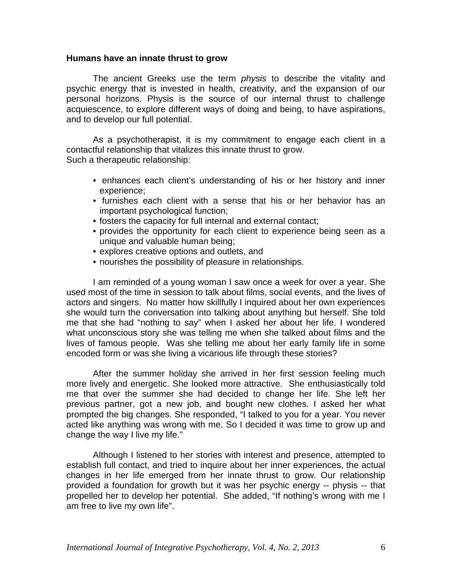#### **Humans have an innate thrust to grow**

The ancient Greeks use the term *physis* to describe the vitality and psychic energy that is invested in health, creativity, and the expansion of our personal horizons. Physis is the source of our internal thrust to challenge acquiescence, to explore different ways of doing and being, to have aspirations, and to develop our full potential.

As a psychotherapist, it is my commitment to engage each client in a contactful relationship that vitalizes this innate thrust to grow. Such a therapeutic relationship:

- enhances each client's understanding of his or her history and inner experience;
- furnishes each client with a sense that his or her behavior has an important psychological function;
- fosters the capacity for full internal and external contact;
- provides the opportunity for each client to experience being seen as a unique and valuable human being;
- explores creative options and outlets, and
- nourishes the possibility of pleasure in relationships.

 I am reminded of a young woman I saw once a week for over a year. She used most of the time in session to talk about films, social events, and the lives of actors and singers. No matter how skillfully I inquired about her own experiences she would turn the conversation into talking about anything but herself. She told me that she had "nothing to say" when I asked her about her life. I wondered what unconscious story she was telling me when she talked about films and the lives of famous people. Was she telling me about her early family life in some encoded form or was she living a vicarious life through these stories?

 After the summer holiday she arrived in her first session feeling much more lively and energetic. She looked more attractive. She enthusiastically told me that over the summer she had decided to change her life. She left her previous partner, got a new job, and bought new clothes. I asked her what prompted the big changes. She responded, "I talked to you for a year. You never acted like anything was wrong with me. So I decided it was time to grow up and change the way I live my life."

 Although I listened to her stories with interest and presence, attempted to establish full contact, and tried to inquire about her inner experiences, the actual changes in her life emerged from her innate thrust to grow. Our relationship provided a foundation for growth but it was her psychic energy -- physis -- that propelled her to develop her potential. She added, "If nothing's wrong with me I am free to live my own life".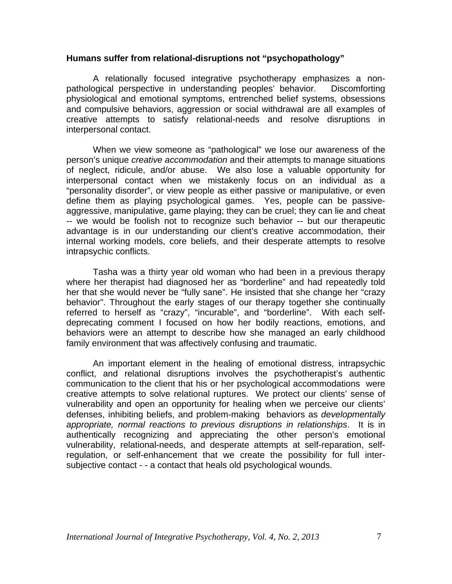## **Humans suffer from relational-disruptions not "psychopathology"**

A relationally focused integrative psychotherapy emphasizes a nonpathological perspective in understanding peoples' behavior. Discomforting physiological and emotional symptoms, entrenched belief systems, obsessions and compulsive behaviors, aggression or social withdrawal are all examples of creative attempts to satisfy relational-needs and resolve disruptions in interpersonal contact.

When we view someone as "pathological" we lose our awareness of the person's unique *creative accommodation* and their attempts to manage situations of neglect, ridicule, and/or abuse. We also lose a valuable opportunity for interpersonal contact when we mistakenly focus on an individual as a "personality disorder", or view people as either passive or manipulative, or even define them as playing psychological games. Yes, people can be passiveaggressive, manipulative, game playing; they can be cruel; they can lie and cheat -- we would be foolish not to recognize such behavior -- but our therapeutic advantage is in our understanding our client's creative accommodation, their internal working models, core beliefs, and their desperate attempts to resolve intrapsychic conflicts.

Tasha was a thirty year old woman who had been in a previous therapy where her therapist had diagnosed her as "borderline" and had repeatedly told her that she would never be "fully sane". He insisted that she change her "crazy behavior". Throughout the early stages of our therapy together she continually referred to herself as "crazy", "incurable", and "borderline". With each selfdeprecating comment I focused on how her bodily reactions, emotions, and behaviors were an attempt to describe how she managed an early childhood family environment that was affectively confusing and traumatic.

An important element in the healing of emotional distress, intrapsychic conflict, and relational disruptions involves the psychotherapist's authentic communication to the client that his or her psychological accommodations were creative attempts to solve relational ruptures. We protect our clients' sense of vulnerability and open an opportunity for healing when we perceive our clients' defenses, inhibiting beliefs, and problem-making behaviors as *developmentally appropriate, normal reactions to previous disruptions in relationships*. It is in authentically recognizing and appreciating the other person's emotional vulnerability, relational-needs, and desperate attempts at self-reparation, selfregulation, or self-enhancement that we create the possibility for full intersubjective contact - - a contact that heals old psychological wounds.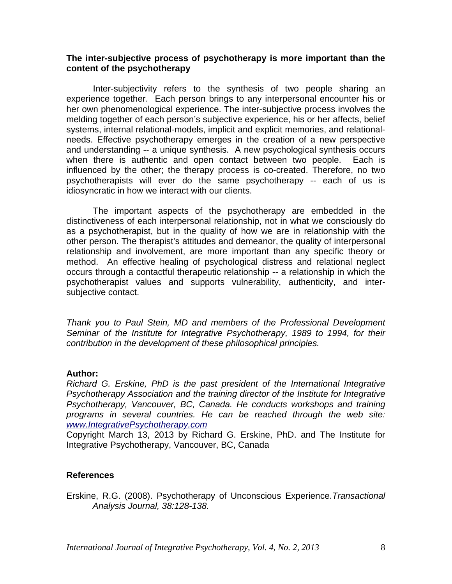## **The inter-subjective process of psychotherapy is more important than the content of the psychotherapy**

Inter-subjectivity refers to the synthesis of two people sharing an experience together. Each person brings to any interpersonal encounter his or her own phenomenological experience. The inter-subjective process involves the melding together of each person's subjective experience, his or her affects, belief systems, internal relational-models, implicit and explicit memories, and relationalneeds. Effective psychotherapy emerges in the creation of a new perspective and understanding -- a unique synthesis. A new psychological synthesis occurs when there is authentic and open contact between two people. Each is influenced by the other; the therapy process is co-created. Therefore, no two psychotherapists will ever do the same psychotherapy -- each of us is idiosyncratic in how we interact with our clients.

The important aspects of the psychotherapy are embedded in the distinctiveness of each interpersonal relationship, not in what we consciously do as a psychotherapist, but in the quality of how we are in relationship with the other person. The therapist's attitudes and demeanor, the quality of interpersonal relationship and involvement, are more important than any specific theory or method. An effective healing of psychological distress and relational neglect occurs through a contactful therapeutic relationship -- a relationship in which the psychotherapist values and supports vulnerability, authenticity, and intersubjective contact.

*Thank you to Paul Stein, MD and members of the Professional Development Seminar of the Institute for Integrative Psychotherapy, 1989 to 1994, for their contribution in the development of these philosophical principles.* 

#### **Author:**

*Richard G. Erskine, PhD is the past president of the International Integrative Psychotherapy Association and the training director of the Institute for Integrative Psychotherapy, Vancouver, BC, Canada. He conducts workshops and training programs in several countries. He can be reached through the web site: [www.IntegrativePsychotherapy.com](http://www.integrativepsychotherapy.com/)*

Copyright March 13, 2013 by Richard G. Erskine, PhD. and The Institute for Integrative Psychotherapy, Vancouver, BC, Canada

#### **References**

Erskine, R.G. (2008). Psychotherapy of Unconscious Experience.*Transactional Analysis Journal, 38:128-138.*